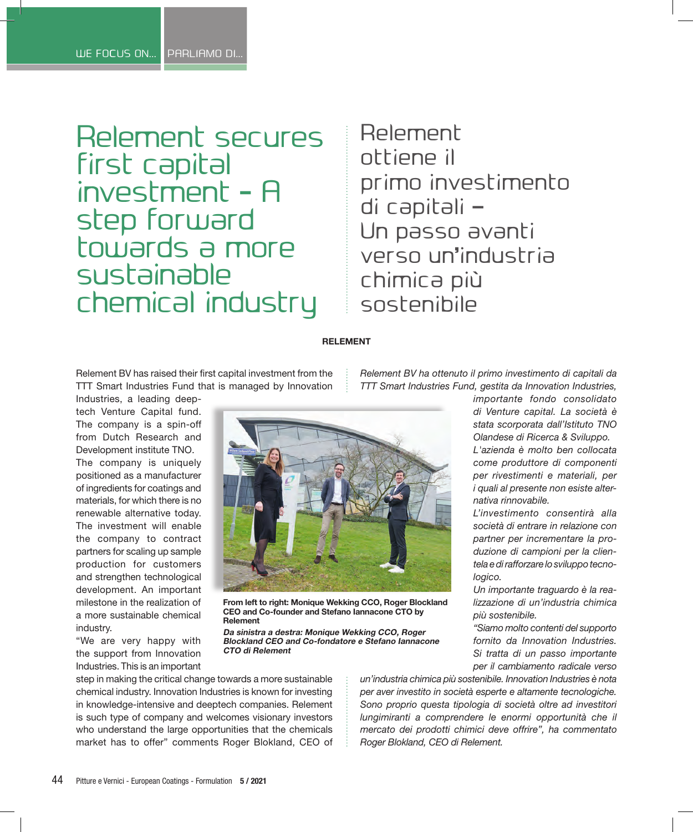Relement secures first capital investment - A step forward towards a more sustainable chemical industry

Relement ottiene il primo investimento di capitali – Un passo avanti verso un'industria chimica più sostenibile

### **RELEMENT**

**From left to right: Monique Wekking CCO, Roger Blockland CEO and Co-founder and Stefano Iannacone CTO by** 

**Da sinistra a destra: Monique Wekking CCO, Roger Blockland CEO and Co-fondatore e Stefano Iannacone** 

Relement BV has raised their first capital investment from the TTT Smart Industries Fund that is managed by Innovation

Industries, a leading deeptech Venture Capital fund. The company is a spin-off from Dutch Research and Development institute TNO.

The company is uniquely positioned as a manufacturer of ingredients for coatings and materials, for which there is no renewable alternative today. The investment will enable the company to contract partners for scaling up sample production for customers and strengthen technological development. An important milestone in the realization of a more sustainable chemical industry.

"We are very happy with the support from Innovation Industries. This is an important *TTT Smart Industries Fund, gestita da Innovation Industries, importante fondo consolidato* 



*società di entrare in relazione con partner per incrementare la produzione di campioni per la clientela e di rafforzare lo sviluppo tecnologico.*

*Un importante traguardo è la realizzazione di un'industria chimica più sostenibile.*

*"Siamo molto contenti del supporto fornito da Innovation Industries. Si tratta di un passo importante per il cambiamento radicale verso* 

step in making the critical change towards a more sustainable chemical industry. Innovation Industries is known for investing in knowledge-intensive and deeptech companies. Relement is such type of company and welcomes visionary investors who understand the large opportunities that the chemicals market has to offer" comments Roger Blokland, CEO of

**Relement**

**CTO di Relement**

*un'industria chimica più sostenibile. Innovation Industries è nota per aver investito in società esperte e altamente tecnologiche. Sono proprio questa tipologia di società oltre ad investitori lungimiranti a comprendere le enormi opportunità che il mercato dei prodotti chimici deve offrire", ha commentato Roger Blokland, CEO di Relement.*

*Relement BV ha ottenuto il primo investimento di capitali da*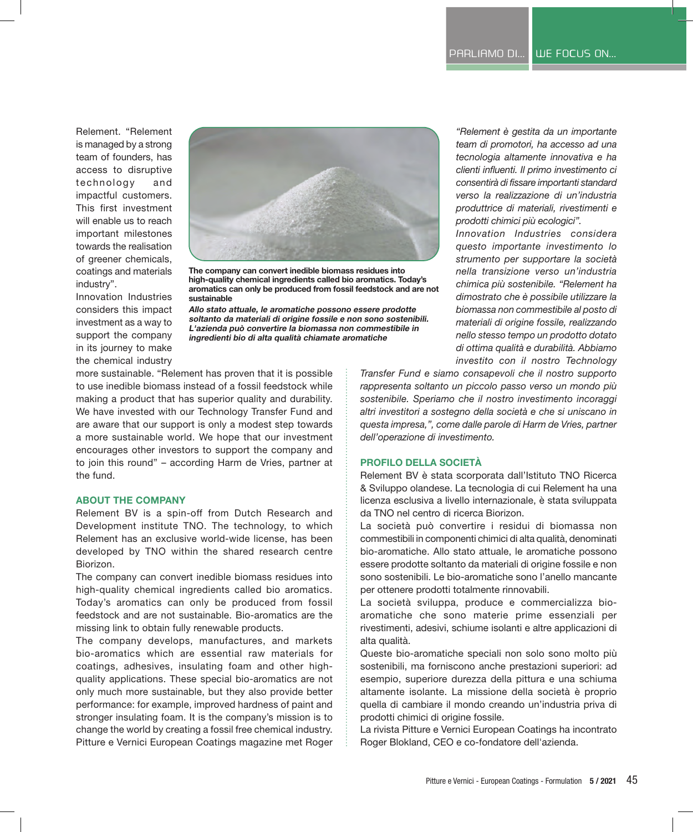Relement. "Relement is managed by a strong team of founders, has access to disruptive technology and impactful customers. This first investment will enable us to reach important milestones towards the realisation of greener chemicals, coatings and materials industry".

Innovation Industries considers this impact



**The company can convert inedible biomass residues into high-quality chemical ingredients called bio aromatics. Today's aromatics can only be produced from fossil feedstock and are not sustainable**

**Allo stato attuale, le aromatiche possono essere prodotte soltanto da materiali di origine fossile e non sono sostenibili. L'azienda può convertire la biomassa non commestibile in ingredienti bio di alta qualità chiamate aromatiche**

investment as a way to support the company in its journey to make the chemical industry more sustainable. "Relement has proven that it is possible to use inedible biomass instead of a fossil feedstock while making a product that has superior quality and durability. We have invested with our Technology Transfer Fund and

are aware that our support is only a modest step towards a more sustainable world. We hope that our investment encourages other investors to support the company and to join this round" – according Harm de Vries, partner at the fund.

### **ABOUT THE COMPANY**

Relement BV is a spin-off from Dutch Research and Development institute TNO. The technology, to which Relement has an exclusive world-wide license, has been developed by TNO within the shared research centre Biorizon.

The company can convert inedible biomass residues into high-quality chemical ingredients called bio aromatics. Today's aromatics can only be produced from fossil feedstock and are not sustainable. Bio-aromatics are the missing link to obtain fully renewable products.

The company develops, manufactures, and markets bio-aromatics which are essential raw materials for coatings, adhesives, insulating foam and other highquality applications. These special bio-aromatics are not only much more sustainable, but they also provide better performance: for example, improved hardness of paint and stronger insulating foam. It is the company's mission is to change the world by creating a fossil free chemical industry. Pitture e Vernici European Coatings magazine met Roger

*"Relement è gestita da un importante team di promotori, ha accesso ad una tecnologia altamente innovativa e ha clienti influenti. Il primo investimento ci consentirà di fissare importanti standard verso la realizzazione di un'industria produttrice di materiali, rivestimenti e prodotti chimici più ecologici".*

*Innovation Industries considera questo importante investimento lo strumento per supportare la società nella transizione verso un'industria chimica più sostenibile. "Relement ha dimostrato che è possibile utilizzare la biomassa non commestibile al posto di materiali di origine fossile, realizzando nello stesso tempo un prodotto dotato di ottima qualità e durabilità. Abbiamo investito con il nostro Technology* 

*Transfer Fund e siamo consapevoli che il nostro supporto rappresenta soltanto un piccolo passo verso un mondo più sostenibile. Speriamo che il nostro investimento incoraggi altri investitori a sostegno della società e che si uniscano in questa impresa,", come dalle parole di Harm de Vries, partner dell'operazione di investimento.*

### **PROFILO DELLA SOCIETÀ**

Relement BV è stata scorporata dall'Istituto TNO Ricerca & Sviluppo olandese. La tecnologia di cui Relement ha una licenza esclusiva a livello internazionale, è stata sviluppata da TNO nel centro di ricerca Biorizon.

La società può convertire i residui di biomassa non commestibili in componenti chimici di alta qualità, denominati bio-aromatiche. Allo stato attuale, le aromatiche possono essere prodotte soltanto da materiali di origine fossile e non sono sostenibili. Le bio-aromatiche sono l'anello mancante per ottenere prodotti totalmente rinnovabili.

La società sviluppa, produce e commercializza bioaromatiche che sono materie prime essenziali per rivestimenti, adesivi, schiume isolanti e altre applicazioni di alta qualità.

Queste bio-aromatiche speciali non solo sono molto più sostenibili, ma forniscono anche prestazioni superiori: ad esempio, superiore durezza della pittura e una schiuma altamente isolante. La missione della società è proprio quella di cambiare il mondo creando un'industria priva di prodotti chimici di origine fossile.

La rivista Pitture e Vernici European Coatings ha incontrato Roger Blokland, CEO e co-fondatore dell'azienda.